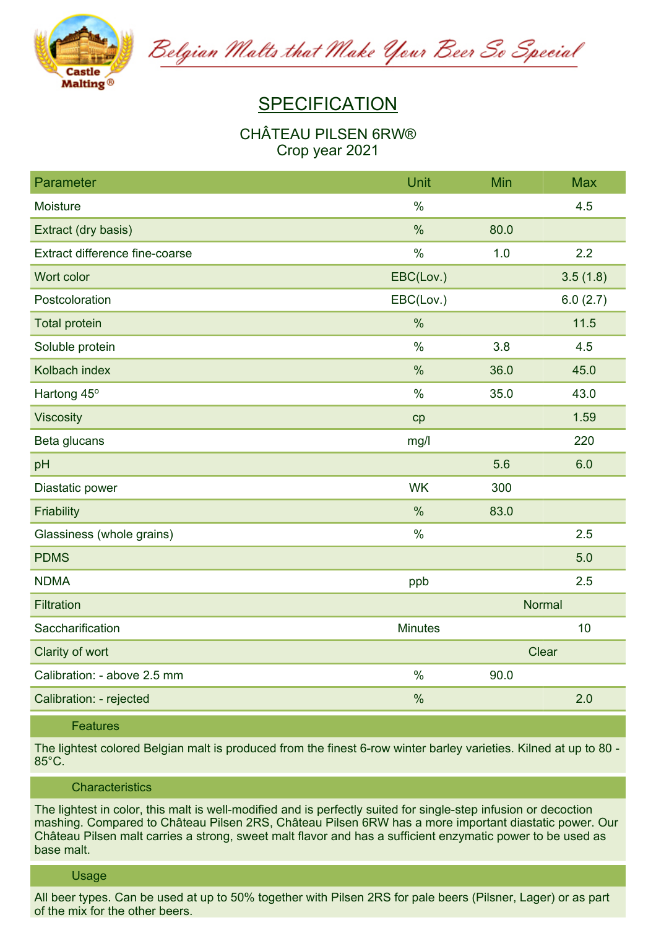

Belgian Malts that Make Your Beer So Special

# **SPECIFICATION**

# **CHÂTEAU PILSEN 6RW® Crop year 2021**

| Parameter                      | Unit           | Min           | <b>Max</b> |
|--------------------------------|----------------|---------------|------------|
| Moisture                       | $\%$           |               | 4.5        |
| Extract (dry basis)            | %              | 80.0          |            |
| Extract difference fine-coarse | $\%$           | 1.0           | 2.2        |
| Wort color                     | EBC(Lov.)      |               | 3.5(1.8)   |
| Postcoloration                 | EBC(Lov.)      |               | 6.0(2.7)   |
| <b>Total protein</b>           | $\frac{0}{0}$  |               | 11.5       |
| Soluble protein                | $\%$           | 3.8           | 4.5        |
| Kolbach index                  | %              | 36.0          | 45.0       |
| Hartong 45°                    | $\%$           | 35.0          | 43.0       |
| <b>Viscosity</b>               | cp             |               | 1.59       |
| Beta glucans                   | mg/l           |               | 220        |
| pH                             |                | 5.6           | 6.0        |
| Diastatic power                | <b>WK</b>      | 300           |            |
| Friability                     | $\%$           | 83.0          |            |
| Glassiness (whole grains)      | $\%$           |               | 2.5        |
| <b>PDMS</b>                    |                |               | 5.0        |
| <b>NDMA</b>                    | ppb            |               | 2.5        |
| <b>Filtration</b>              |                | <b>Normal</b> |            |
| Saccharification               | <b>Minutes</b> |               | 10         |
| Clarity of wort                |                | Clear         |            |
| Calibration: - above 2.5 mm    | $\frac{0}{0}$  | 90.0          |            |
| Calibration: - rejected        | $\%$           |               | 2.0        |

## **Features**

The lightest colored Belgian malt is produced from the finest 6-row winter barley varieties. Kilned at up to 80 -**85°C.**

## **Characteristics**

The lightest in color, this malt is well-modified and is perfectly suited for single-step infusion or decoction **mashing. Compared to Château Pilsen 2RS, Château Pilsen 6RW has a more important diastatic power. Our** Château Pilsen malt carries a strong, sweet malt flavor and has a sufficient enzymatic power to be used as **base malt.**

#### **Usage**

All beer types. Can be used at up to 50% together with Pilsen 2RS for pale beers (Pilsner, Lager) or as part **of the mix for the other beers.**